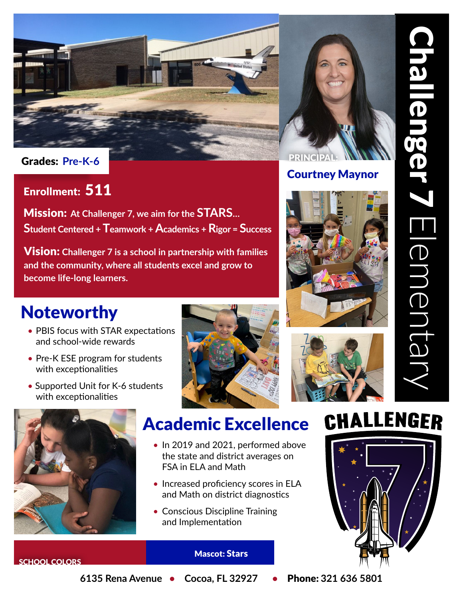

Courtney Maynor



### Enrollment: 511

Mission: **At Challenger 7, we aim for the STARS… Student Centered + Teamwork + Academics + Rigor = Success**

Vision: **Challenger 7 is a school in partnership with families and the community, where all students excel and grow to become life-long learners.**

## Noteworthy

- PBIS focus with STAR expectations and school-wide rewards
- Pre-K ESE program for students with exceptionalities
- Supported Unit for K-6 students with exceptionalities





## Academic Excellence

- In 2019 and 2021, performed above the state and district averages on FSA in ELA and Math
- Increased proficiency scores in ELA and Math on district diagnostics
- Conscious Discipline Training and Implementation

## CHALLENGER



#### Mascot: Stars

SCHOOL COLORS